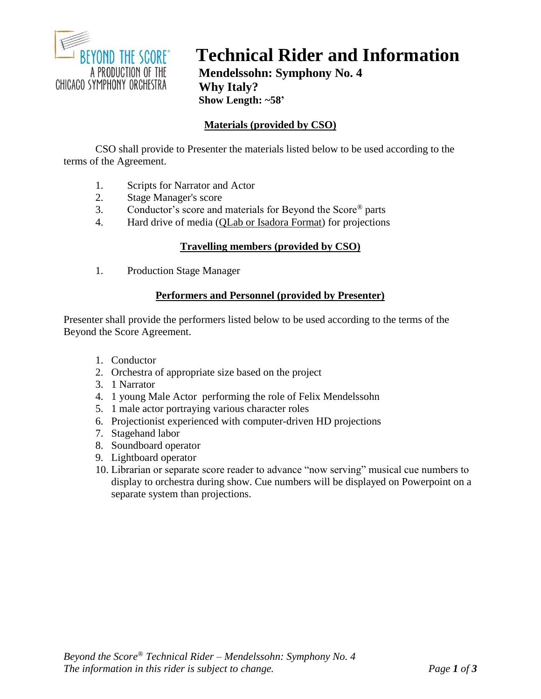

# **Technical Rider and Information**

**Mendelssohn: Symphony No. 4 Why Italy? Show Length: ~58'**

# **Materials (provided by CSO)**

CSO shall provide to Presenter the materials listed below to be used according to the terms of the Agreement.

- 1. Scripts for Narrator and Actor
- 2. Stage Manager's score<br>3. Conductor's score and
- 3. Conductor's score and materials for Beyond the Score® parts
- 4. Hard drive of media (QLab or Isadora Format) for projections

## **Travelling members (provided by CSO)**

1. Production Stage Manager

## **Performers and Personnel (provided by Presenter)**

Presenter shall provide the performers listed below to be used according to the terms of the Beyond the Score Agreement.

- 1. Conductor
- 2. Orchestra of appropriate size based on the project
- 3. 1 Narrator
- 4. 1 young Male Actor performing the role of Felix Mendelssohn
- 5. 1 male actor portraying various character roles
- 6. Projectionist experienced with computer-driven HD projections
- 7. Stagehand labor
- 8. Soundboard operator
- 9. Lightboard operator
- 10. Librarian or separate score reader to advance "now serving" musical cue numbers to display to orchestra during show. Cue numbers will be displayed on Powerpoint on a separate system than projections.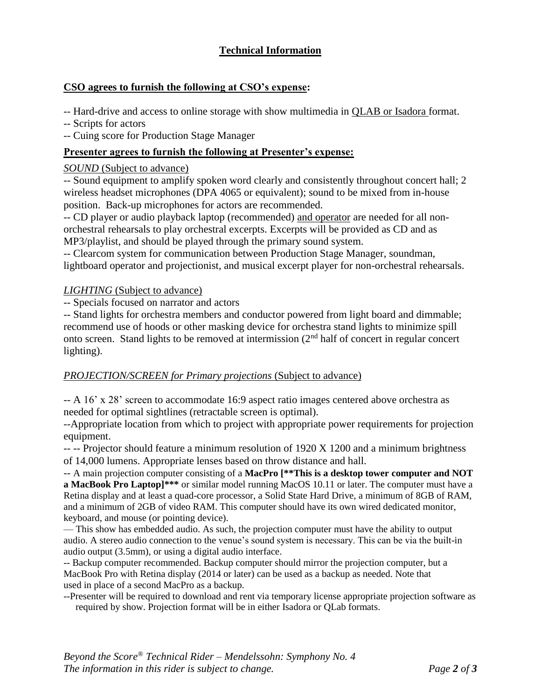# **Technical Information**

## **CSO agrees to furnish the following at CSO's expense:**

-- Hard-drive and access to online storage with show multimedia in QLAB or Isadora format.

-- Scripts for actors

-- Cuing score for Production Stage Manager

## **Presenter agrees to furnish the following at Presenter's expense:**

#### *SOUND* (Subject to advance)

-- Sound equipment to amplify spoken word clearly and consistently throughout concert hall; 2 wireless headset microphones (DPA 4065 or equivalent); sound to be mixed from in-house position. Back-up microphones for actors are recommended.

-- CD player or audio playback laptop (recommended) and operator are needed for all nonorchestral rehearsals to play orchestral excerpts. Excerpts will be provided as CD and as MP3/playlist, and should be played through the primary sound system.

-- Clearcom system for communication between Production Stage Manager, soundman, lightboard operator and projectionist, and musical excerpt player for non-orchestral rehearsals.

#### *LIGHTING* (Subject to advance)

-- Specials focused on narrator and actors

-- Stand lights for orchestra members and conductor powered from light board and dimmable; recommend use of hoods or other masking device for orchestra stand lights to minimize spill onto screen. Stand lights to be removed at intermission (2nd half of concert in regular concert lighting).

#### *PROJECTION/SCREEN for Primary projections* (Subject to advance)

-- A 16' x 28' screen to accommodate 16:9 aspect ratio images centered above orchestra as needed for optimal sightlines (retractable screen is optimal).

--Appropriate location from which to project with appropriate power requirements for projection equipment.

-- -- Projector should feature a minimum resolution of 1920 X 1200 and a minimum brightness of 14,000 lumens. Appropriate lenses based on throw distance and hall.

-- A main projection computer consisting of a **MacPro [\*\*This is a desktop tower computer and NOT a MacBook Pro Laptop]\*\*\*** or similar model running MacOS 10.11 or later. The computer must have a Retina display and at least a quad-core processor, a Solid State Hard Drive, a minimum of 8GB of RAM, and a minimum of 2GB of video RAM. This computer should have its own wired dedicated monitor, keyboard, and mouse (or pointing device).

— This show has embedded audio. As such, the projection computer must have the ability to output audio. A stereo audio connection to the venue's sound system is necessary. This can be via the built-in audio output (3.5mm), or using a digital audio interface.

-- Backup computer recommended. Backup computer should mirror the projection computer, but a MacBook Pro with Retina display (2014 or later) can be used as a backup as needed. Note that used in place of a second MacPro as a backup.

--Presenter will be required to download and rent via temporary license appropriate projection software as required by show. Projection format will be in either Isadora or QLab formats.